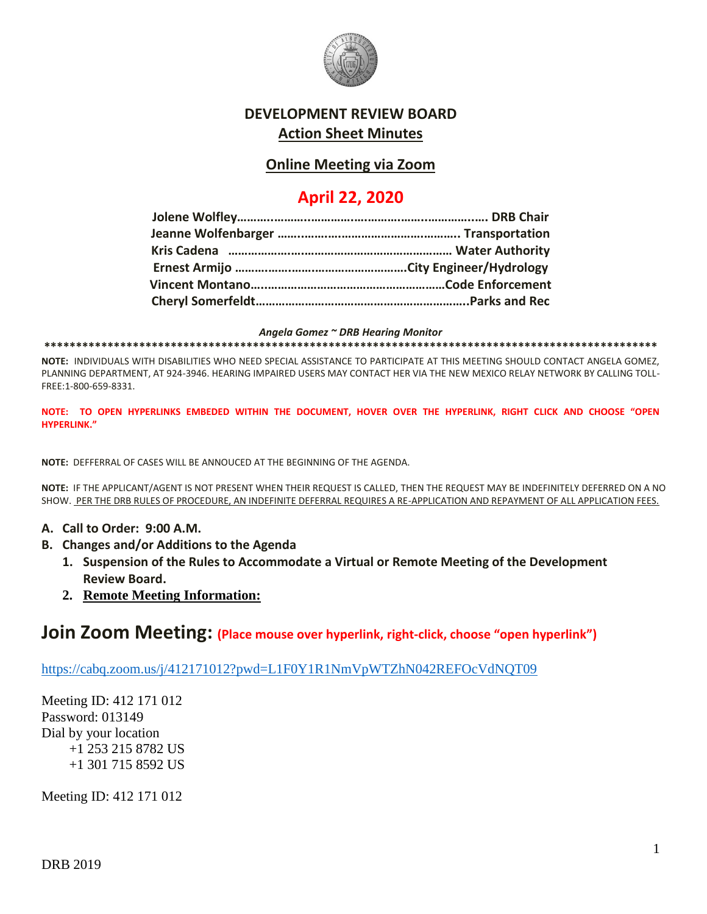

## **DEVELOPMENT REVIEW BOARD Action Sheet Minutes**

# **Online Meeting via Zoom**

# **April 22, 2020**

#### *Angela Gomez ~ DRB Hearing Monitor*

**\*\*\*\*\*\*\*\*\*\*\*\*\*\*\*\*\*\*\*\*\*\*\*\*\*\*\*\*\*\*\*\*\*\*\*\*\*\*\*\*\*\*\*\*\*\*\*\*\*\*\*\*\*\*\*\*\*\*\*\*\*\*\*\*\*\*\*\*\*\*\*\*\*\*\*\*\*\*\*\*\*\*\*\*\*\*\*\*\*\*\*\*\*\*\*\*\***

**NOTE:** INDIVIDUALS WITH DISABILITIES WHO NEED SPECIAL ASSISTANCE TO PARTICIPATE AT THIS MEETING SHOULD CONTACT ANGELA GOMEZ, PLANNING DEPARTMENT, AT 924-3946. HEARING IMPAIRED USERS MAY CONTACT HER VIA THE NEW MEXICO RELAY NETWORK BY CALLING TOLL-FREE:1-800-659-8331.

**NOTE: TO OPEN HYPERLINKS EMBEDED WITHIN THE DOCUMENT, HOVER OVER THE HYPERLINK, RIGHT CLICK AND CHOOSE "OPEN HYPERLINK."**

**NOTE:** DEFFERRAL OF CASES WILL BE ANNOUCED AT THE BEGINNING OF THE AGENDA.

**NOTE:** IF THE APPLICANT/AGENT IS NOT PRESENT WHEN THEIR REQUEST IS CALLED, THEN THE REQUEST MAY BE INDEFINITELY DEFERRED ON A NO SHOW. PER THE DRB RULES OF PROCEDURE, AN INDEFINITE DEFERRAL REQUIRES A RE-APPLICATION AND REPAYMENT OF ALL APPLICATION FEES.

- **A. Call to Order: 9:00 A.M.**
- **B. Changes and/or Additions to the Agenda**
	- **1. Suspension of the Rules to Accommodate a Virtual or Remote Meeting of the Development Review Board.**
	- **2. Remote Meeting Information:**

## **Join Zoom Meeting: (Place mouse over hyperlink, right-click, choose "open hyperlink")**

<https://cabq.zoom.us/j/412171012?pwd=L1F0Y1R1NmVpWTZhN042REFOcVdNQT09>

Meeting ID: 412 171 012 Password: 013149 Dial by your location +1 253 215 8782 US +1 301 715 8592 US

Meeting ID: 412 171 012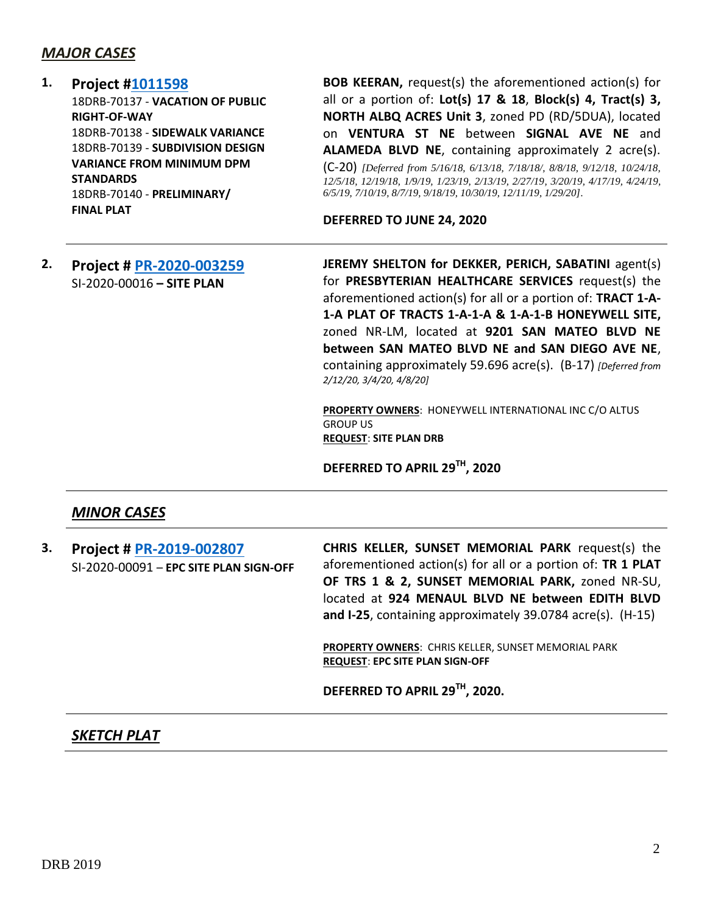#### *MAJOR CASES*

#### **1. Project [#1011598](http://data.cabq.gov/government/planning/DRB/1011598/1011598_DRB%20Submittals/)** 18DRB-70137 - **VACATION OF PUBLIC RIGHT-OF-WAY** 18DRB-70138 - **SIDEWALK VARIANCE** 18DRB-70139 - **SUBDIVISION DESIGN VARIANCE FROM MINIMUM DPM**

**STANDARDS** 18DRB-70140 - **PRELIMINARY/ FINAL PLAT**

**BOB KEERAN,** request(s) the aforementioned action(s) for all or a portion of: **Lot(s) 17 & 18**, **Block(s) 4, Tract(s) 3, NORTH ALBQ ACRES Unit 3**, zoned PD (RD/5DUA), located on **VENTURA ST NE** between **SIGNAL AVE NE** and **ALAMEDA BLVD NE**, containing approximately 2 acre(s). (C-20) *[Deferred from 5/16/18, 6/13/18, 7/18/18/, 8/8/18, 9/12/18, 10/24/18, 12/5/18, 12/19/18, 1/9/19, 1/23/19, 2/13/19, 2/27/19, 3/20/19, 4/17/19, 4/24/19, 6/5/19, 7/10/19, 8/7/19, 9/18/19, 10/30/19, 12/11/19, 1/29/20].*

**DEFERRED TO JUNE 24, 2020**

**2. Project # [PR-2020-003259](http://data.cabq.gov/government/planning/DRB/PR-2020-003259/DRB%20Submittals/PR-2020-003259_Feb_12_2020/Application/)** SI-2020-00016 **– SITE PLAN**

**JEREMY SHELTON for DEKKER, PERICH, SABATINI** agent(s) for **PRESBYTERIAN HEALTHCARE SERVICES** request(s) the aforementioned action(s) for all or a portion of: **TRACT 1-A-1-A PLAT OF TRACTS 1-A-1-A & 1-A-1-B HONEYWELL SITE,** zoned NR-LM, located at **9201 SAN MATEO BLVD NE between SAN MATEO BLVD NE and SAN DIEGO AVE NE**, containing approximately 59.696 acre(s). (B-17) *[Deferred from 2/12/20, 3/4/20, 4/8/20]*

**PROPERTY OWNERS**: HONEYWELL INTERNATIONAL INC C/O ALTUS GROUP US **REQUEST**: **SITE PLAN DRB**

**DEFERRED TO APRIL 29 TH, 2020**

## *MINOR CASES*

**3. Project # [PR-2019-002807](http://data.cabq.gov/government/planning/DRB/PR-2019-002807/DRB%20Submittals/PR-2019-002807_Apr_22_2020/Application/PR-2019-002807.pdf)** SI-2020-00091 – **EPC SITE PLAN SIGN-OFF** **CHRIS KELLER, SUNSET MEMORIAL PARK** request(s) the aforementioned action(s) for all or a portion of: **TR 1 PLAT OF TRS 1 & 2, SUNSET MEMORIAL PARK,** zoned NR-SU, located at **924 MENAUL BLVD NE between EDITH BLVD and I-25**, containing approximately 39.0784 acre(s). (H-15)

**PROPERTY OWNERS**: CHRIS KELLER, SUNSET MEMORIAL PARK **REQUEST**: **EPC SITE PLAN SIGN-OFF**

**DEFERRED TO APRIL 29TH, 2020.**

#### *SKETCH PLAT*